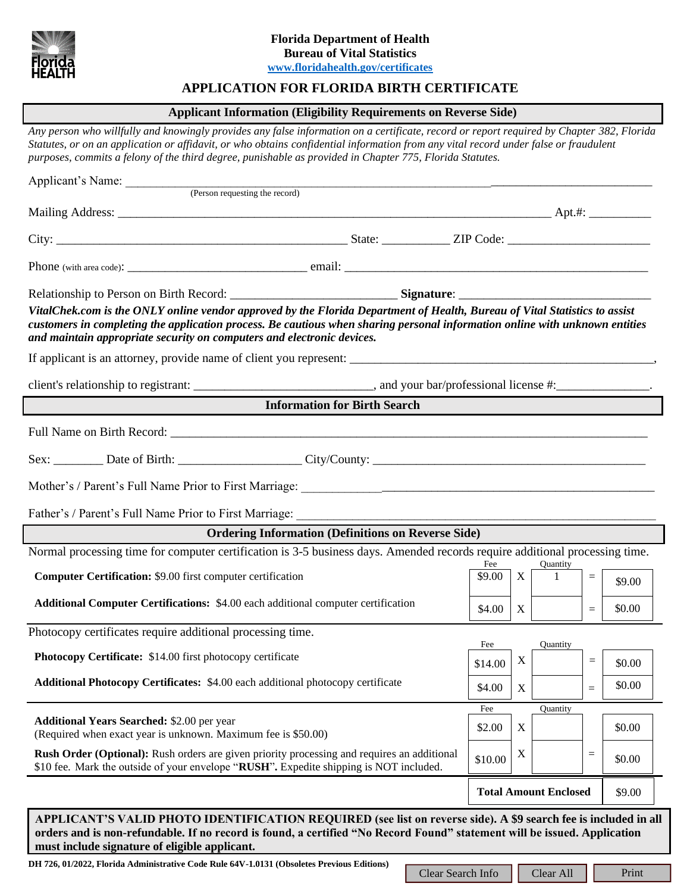

## **APPLICATION FOR FLORIDA BIRTH CERTIFICATE**

### **Applicant Information (Eligibility Requirements on Reverse Side)**

*Any person who willfully and knowingly provides any false information on a certificate, record or report required by Chapter 382, Florida Statutes, or on an application or affidavit, or who obtains confidential information from any vital record under false or fraudulent purposes, commits a felony of the third degree, punishable as provided in Chapter 775, Florida Statutes.*

| Applicant's Name: (Person requesting the record)                                                                                                                                                                                                                                                                                                                                           |                   |                                        |                           |           |                 |        |
|--------------------------------------------------------------------------------------------------------------------------------------------------------------------------------------------------------------------------------------------------------------------------------------------------------------------------------------------------------------------------------------------|-------------------|----------------------------------------|---------------------------|-----------|-----------------|--------|
|                                                                                                                                                                                                                                                                                                                                                                                            |                   |                                        |                           |           |                 |        |
|                                                                                                                                                                                                                                                                                                                                                                                            |                   |                                        |                           |           |                 |        |
|                                                                                                                                                                                                                                                                                                                                                                                            |                   |                                        |                           |           |                 |        |
| VitalChek.com is the ONLY online vendor approved by the Florida Department of Health, Bureau of Vital Statistics to assist<br>customers in completing the application process. Be cautious when sharing personal information online with unknown entities<br>and maintain appropriate security on computers and electronic devices.                                                        |                   |                                        |                           |           |                 |        |
|                                                                                                                                                                                                                                                                                                                                                                                            |                   |                                        |                           |           |                 |        |
|                                                                                                                                                                                                                                                                                                                                                                                            |                   |                                        |                           |           |                 |        |
| <b>Information for Birth Search</b>                                                                                                                                                                                                                                                                                                                                                        |                   |                                        |                           |           |                 |        |
|                                                                                                                                                                                                                                                                                                                                                                                            |                   |                                        |                           |           |                 |        |
|                                                                                                                                                                                                                                                                                                                                                                                            |                   |                                        |                           |           |                 |        |
|                                                                                                                                                                                                                                                                                                                                                                                            |                   |                                        |                           |           |                 |        |
| Father's / Parent's Full Name Prior to First Marriage:                                                                                                                                                                                                                                                                                                                                     |                   |                                        |                           |           |                 |        |
| <b>Ordering Information (Definitions on Reverse Side)</b>                                                                                                                                                                                                                                                                                                                                  |                   |                                        |                           |           |                 |        |
| Normal processing time for computer certification is 3-5 business days. Amended records require additional processing time.                                                                                                                                                                                                                                                                |                   | Fee                                    |                           | Quantity  |                 |        |
| Computer Certification: \$9.00 first computer certification                                                                                                                                                                                                                                                                                                                                |                   | \$9.00                                 | X                         | 1         | $=$             | \$9.00 |
| <b>Additional Computer Certifications:</b> \$4.00 each additional computer certification                                                                                                                                                                                                                                                                                                   |                   | \$4.00                                 | X                         |           | $\quad \  \  =$ | \$0.00 |
| Photocopy certificates require additional processing time.                                                                                                                                                                                                                                                                                                                                 |                   |                                        |                           |           |                 |        |
| Photocopy Certificate: \$14.00 first photocopy certificate                                                                                                                                                                                                                                                                                                                                 |                   | Fee<br>\$14.00                         | $\boldsymbol{\mathrm{X}}$ | Ouantity  | $\equiv$        | \$0.00 |
| Additional Photocopy Certificates: \$4.00 each additional photocopy certificate                                                                                                                                                                                                                                                                                                            |                   | \$4.00                                 | $\mathbf X$               |           | $=$             | \$0.00 |
|                                                                                                                                                                                                                                                                                                                                                                                            |                   | Fee                                    |                           | Quantity  |                 |        |
| <b>Additional Years Searched: \$2.00 per year</b><br>(Required when exact year is unknown. Maximum fee is \$50.00)                                                                                                                                                                                                                                                                         |                   | \$2.00                                 | $\mathbf X$               |           |                 | \$0.00 |
| <b>Rush Order (Optional):</b> Rush orders are given priority processing and requires an additional<br>\$10 fee. Mark the outside of your envelope "RUSH". Expedite shipping is NOT included.                                                                                                                                                                                               |                   | \$10.00                                | X                         |           | $\equiv$        | \$0.00 |
|                                                                                                                                                                                                                                                                                                                                                                                            |                   | <b>Total Amount Enclosed</b><br>\$9.00 |                           |           |                 |        |
| APPLICANT'S VALID PHOTO IDENTIFICATION REQUIRED (see list on reverse side). A \$9 search fee is included in all<br>orders and is non-refundable. If no record is found, a certified "No Record Found" statement will be issued. Application<br>must include signature of eligible applicant.<br>DH 726, 01/2022, Florida Administrative Code Rule 64V-1.0131 (Obsoletes Previous Editions) |                   |                                        |                           |           |                 |        |
|                                                                                                                                                                                                                                                                                                                                                                                            | Clear Search Info |                                        |                           | Clear All |                 | Print  |